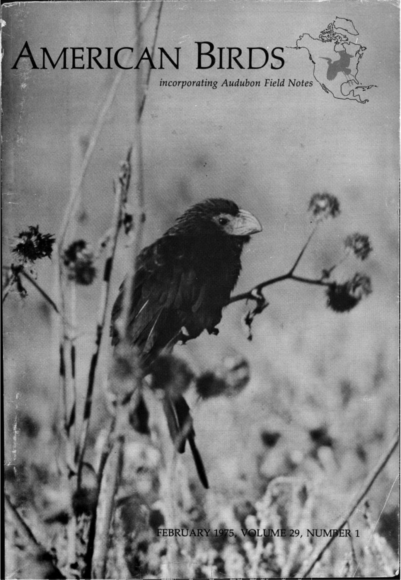# **EAMERICAN BIRDS**

 $\frac{1}{2}$  *incorporating Audubon Field Notes* 

FEBRUARY 1975, VOLUME 29, NUMBER 1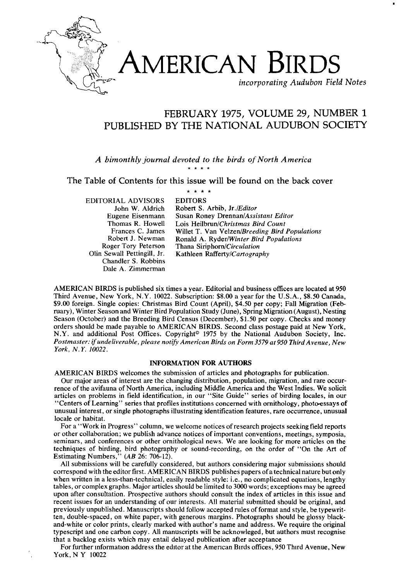

## **AMERICAN BIRDS**

**incorporating Audubon Field Notes** 

## **FEBRUARY 1975, VOLUME 29, NUMBER 1 PUBLISHED BY THE NATIONAL AUDUBON SOCIETY**

**A bimonthly journal devoted to the birds of North America** 

**The Table of Contents for this issue will be found on the back cover** 

\* \* \* \*

**EDITORIAL ADVISORS John W. Aldrich Eugene Eisenmann Thomas R. Howell Frances C. James Robert J. Newman Roger Tory Peterson Olin Sewall Pettingill, Jr. Chandler S. Robbins Dale A. Zimmerman** 

**EDITORS Robert S. Arbib, Jr./Editor Susan Roney Drennan/Assistant Editor** Lois Heilbrun/Christmas Bird Count Willet T. Van Velzen/Breeding Bird Populations **Ronald A. Ryder/Winter Bird Populations Thana Siriphorn/Circulation Kathleen Rafferty/Cartography** 

**AMERICAN BIRDS is published six times a year. Editorial and business offices are located at 950 Third Avenue, New York, N.Y. 10022. Subscription: \$8.00 a year for the U.S.A., \$8.50 Canada, \$9.00 foreign. Single copies: Christmas Bird Count (April), \$4.50 per copy; Fall Migration (Feb**ruary), Winter Season and Winter Bird Population Study (June), Spring Migration (August), Nesting **Season (October) and the Breeding Bird Census (December), \$1.50 per copy. Checks and money orders should be made payable to AMERICAN BIRDS. Second class postage paid at New York,**  N.Y. and additional Post Offices. Copyright<sup>®</sup> 1975 by the National Audubon Society, Inc. **Postmaster: if undeliverable, please notify American Birds on Form 3579 at 950 Third A venue, New York, N.Y. 10022.** 

#### **INFORMATION FOR AUTHORS**

**AMERICAN BIRDS welcomes the submission of articles and photographs for publication.** 

**Our major areas of interest are the changing distribution, population, migration, and rare occurrence of the avifauna of North America, including Middle America and the West Indies. We solicit articles on problems in field identification, in our "Site Guide" series of birding locales, in our "Centers of Learning" series that profiles institutions concerned with ornithology, photo-essays of unusual interest, or single photographs illustrating identification features, rare occurrence, unusual locale or habitat.** 

**For a "Work in Progress" column, we welcome notices of research projects seeking field reports or other collaboration; we publish advance notices of important conventions, meetings, symposia, seminars, and conferences or other ornithological news. We are looking for more articles on the techniques of birding, bird photography or sound-recording, on the order of "On the Art of Estimating Numbers," (AB 26: 706-12).** 

**All submissions will be carefully considered, but authors considering major submissions should correspond with the editor first. AMERICAN BIRDS publisheõ papers of a technical nature but only when written in a less-than-technical, easily readable style: i.e., no complicated equations, lengthy tables, or complex graphs. Major articles should be limited to 3000 words; exceptions may be agreed upon after consultation. Prospective authors should consult the index of articles in this issue and recent issues for an understanding of our interests. All material submitted should be original, and previously unpublished. Manuscripts should follow accepted rules of format and style, be typewritten, double-spaced, on white paper, with generous margins. Photographs should be glossy blackand-white or color prints, clearly marked with author's name and address. We require the original typescript and one carbon copy. All manuscripts will be acknowleged, but authors must recognise that a backlog exists which may entail delayed publication after acceptance** 

**For further information address the editor at the American Birds offices, 950 Third Avenue, New York, N Y 10022**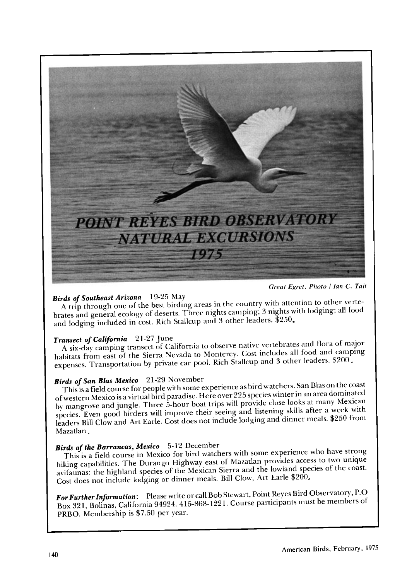

**Great Egret. Photo / lan C. Tait** 

**Birds of Southeast Arizona** 19-25 May<br>A trip through one of the best birding areas in the country with attention to other verte-<br>brates and general ecology of deserts. Three nights camping; 3 nights with lodging; all food and lodging included in cost. Rich Stallcup and 3 other leaders. \$250.

**Transect of California** 21-27 June<br>A six-day camping transect of California to observe native vertebrates and flora of major<br>habitats from east of the Sierra Nevada to Monterey. Cost includes all food and camping expenses. Transportation by private car pool. Rich Stallcup and 3 other leaders. \$200.

**Birds of San Blas Mexico** 21-29 November<br>This is a field course for people with some experience as bird watchers. San Blas on the coast<br>of western Mexico is a virtual bird paradise. Here over 225 species winter in an area species. Even good birders will improve their seeing and listening skills after a week with leaders Bill Clow and Art Earle. Cost does not include lodging and dinner meals. \$250 from **Mazatlan**.

**Birds of the Barrancas, Mexico** 5-12 December<br> **This is a field course in Mexico for bird watchers with some experience who have strong hiking capabilities. The Durango Highway east of Mazatlan provides access to two uniq** avifaunas: the highland species of the Mexican Sierra and the lowland species of the coast. **Cost does not include lodging or dinner meals. Bill Clow, Art Earle \$200,** 

**For FurtherInformation: Please write or call Bob Stewart, Point Reyes Bird Observatory, P.O Box 321, Bolinas, California 94924.415-868-1221. Course participants mut be members of PRBO. Membership is \$7.50 per year.**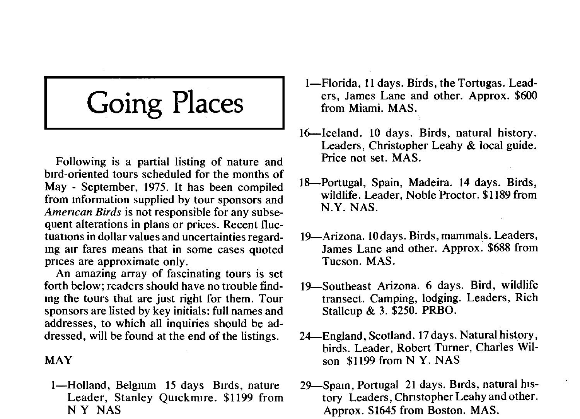## **Going Places**

**Following is a partial listing of nature and bird-oriented tours scheduled for the months of May - September, 1975. It has been compiled from information supplied by tour sponsors and**  American Birds is not responsible for any subse**quent alterations in plans or prices. Recent fluctuations in dollar values and uncertainties regarding air fares means that in some cases quoted prices are approximate only.** 

**An amazing array of fascinating tours is set forth below; readers should have no trouble findmg the tours that are just right for them. Tour sponsors are listed by key initials: full names and addresses, to which all inquiries should be addressed, will be found at the end of the listings.** 

#### **MAY**

**1--Holland, Belgium 15 days Birds, nature Leader, Stanley Quickmire. \$1199 from N Y NAS** 

- **1--Florida, 11 days. Birds, the Tortugas. Leaders, James Lane and other. Approx. \$600 from Miami. MAS.**
- **16--Iceland. 10 days. Birds, natural history. Leaders, Christopher Leahy & local guide. Price not set. MAS.**
- **18•Portugal, Spain, Madeira. 14 days. Birds, wildlife. Leader, Noble Proctor. \$1189 from N.Y. NAS.**
- **19•Arizona. 10 days. Birds, mammals. Leaders, James Lane and other. Approx. \$688 from Tucson. MAS.**
- **19•Southeast Arizona. 6 days. Bird, wildlife transect. Camping, lodging. Leaders, Rich Stallcup & 3. \$250. PRBO.**
- **24•England, Scotland. 17 days. Natural history, birds. Leader, Robert Turner, Charles Wilson \$1199 from N Y. NAS**
- 29-Spain, Portugal 21 days. Birds, natural his**tory Leaders, Christopher Leahy and other. Approx. \$1645 from Boston. MAS.**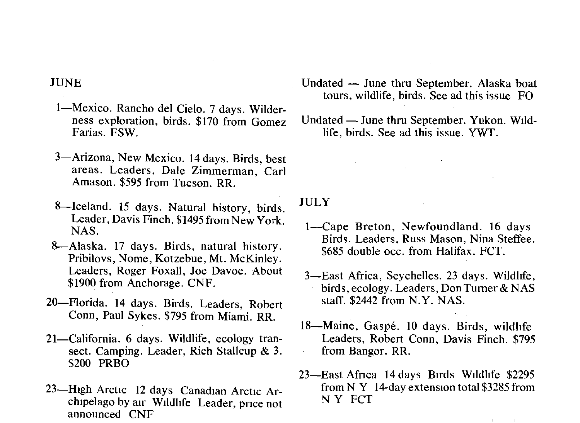- 1-Mexico. Rancho del Cielo. 7 days. Wilder**ness exploration, birds. \$170 from Gomez Farias. FSW.**
- **3--Arizona, New Mexico. 14 days. Birds, best areas. Leaders, Dale Zimmerman, Carl Amason. \$595 from Tucson. RR.**
- **8--Iceland. 15 days. Natural history, birds. Leader, Davis Finch. \$1495 from New York. NAS.**
- **8--Alaska. 17 days. Birds, natural history. Pribilovs, Nome, Kotzebue, Mr. McKinley. Leaders, Roger Foxall, Joe Davoe. About \$1900 from Anchorage. CNF.**
- **20•Florida. 14 days. Birds. Leaders, Robert Conn, Paul Sykes. \$795 from Miami. RR.**
- 21—California. 6 days. Wildlife, ecology tran**sect. Camping. Leader, Rich Stallcup & 3. \$200 PRBO**
- 23-High Arctic 12 days Canadian Arctic Ar**chipelago by air Wildlife Leader, price not announced CNF**
- **Undated -- June thru September. Alaska boat tours, wildlife, birds. See ad this issue FO**
- Undated June thru September. Yukon. Wild**life, birds. See ad this issue. YWT.**

**JULY** 

- **1--Cape Breton, Newfoundland. 16 days Birds. Leaders, Russ Mason, Nina Steffee. \$685 double occ. from Halifax. FCT.**
- **3--East Africa, Seychelles. 23 days. Wildlife, birds, ecology. Leaders, Don Turner & NAS staff. \$2442 from N.Y. NAS.**
- **18--Maine, Gasp& 10 days. Birds, wildlife Leaders, Robert Conn, Davis Finch. \$795 from Bangor. RR.**
- **23--East Africa 14 days Birds Wildlife \$2295 from N Y 14-day extension total \$3285 from N Y FCT**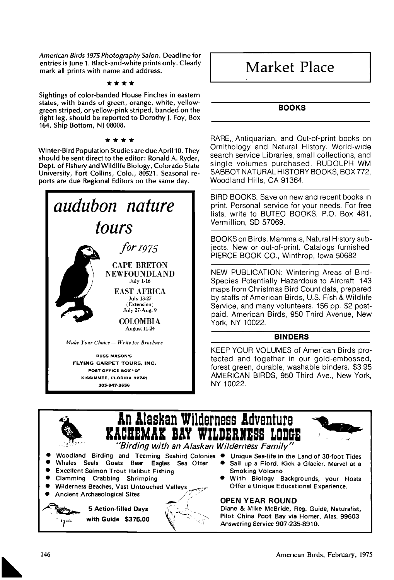**American Birds 1975 Photography Salon. Deadline for entries is June 1. Black-and-white prints only. Clearly mark all prints with name and address.** 

#### \*\*\*\*

**Sightings of color-banded House Finches in eastern states, with bands of green, orange, white, yellowgreen striped, or yellow-pink striped, banded on the right leg, should be reported to Dorothy J. Foy, Box 164, Ship Bottom, NJ 08008.** 

#### \*\*\*\*

**Winter-Bird Population Studies are due April 10. They should be sent direct to the editor: Ronald A. Ryder, Dept. of Fishery and Wildlife Biology, Colorado State University, Fort Collins, Colo., 80521. Seasonal re**ports are due Regional Editors on the same day.



## **I Market Place**

#### **BOOKS**

**RARE,. Antiquarian, and Out-of-print books on Ornithology and Natural History. World-wide search service Libraries, small collections, and single volumes purchased. RUDOLPH WM SABBOT NATURAL HISTORY BOOKS, BOX 772, Woodland Hills, CA 91364.** 

**BIRD BOOKS. Save on new and recent books •n print. Personal service for your needs. For free lists, write to BUTEO BOOKS, P.O. Box 481, Vermillion, SD 57069.** 

**BOOKS on Birds, Mammals, Natural History subjects. New or out-of-print. Catalogs furnished PIERCE BOOK CO., Winthrop, Iowa 50682** 

**NEW PUBLICATION: Wintering Areas of Bird-Species Potentially Hazardous to Aircraft 143 maps from Christmas Bird Count data, prepared by staffs of American Birds, U.S. Fish & Wild hie Service, and many volunteers. 156 pp. \$2 postpaid. American Birds, 950 Third Avenue, New York, NY 10022.** 

#### **BINDERS**

**KEEP YOUR VOLUMES of American Birds protected and together in our gold-embossed, forest green. durable, washable binders. \$3 95 AMERICAN BIRDS, 950 Third Ave., New York, NY 10022.** 

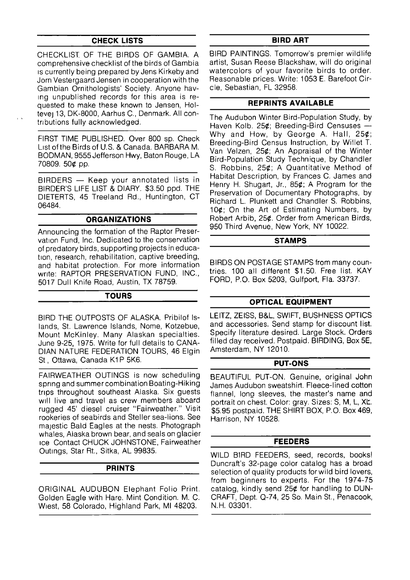#### **CHECK LISTS**

**CHECKLIST. OF THE BIRDS OF GAMBIA. A comprehensive checklist of the birds of Gambia is currently being prepared by Jens Kirkeby and Jorn Vestergaard Jensen in cooperation with the Gambian Ornithologists' Society. Anyone having unpublished records for this area is requested to make these known to Jensen, Holtevej 13, DK-8000, Aarhus C., Denmark. All contrlbutions fully acknowledged.** 

**FIRST TIME PUBLISHED. Over 800 sp. Check**  List of the Birds of U.S. & Canada, BARBARA M. **BODMAN, 9555 Jefferson Hwy, Baton Rouge, LA 70809. 50½ pp.** 

**BIRDERS** - Keep your annotated lists in **BIRDER'S LIFE LIST & DIARY. \$3.50 ppd. THE DIETERTS, 45 Treeland Rd., Huntington, CT 06484.** 

#### **ORGANIZATIONS**

**Announcing the formation of the Raptor Preservabon Fund, Inc. Dedicated to the conservation of predatory birds, supporting projects in educabon, research, rehabilitation, captive breeding, and habitat protection. For more information write: RAPTOR PRESERVATION FUND, INC., 5017 Dull Knife Road, Austin, TX 78759.** 

#### **TOURS**

**BIRD THE OUTPOSTS OF ALASKA. Pribilof Islands, St. Lawrence Islands, Nome, Kotzebue, Mount McKinley. Many Alaskan specialties. June 9-25, 1975. Write for full details to CANA-DIAN NATURE FEDERATION TOURS, 46 Elgin**  St., Ottawa, Canada K1P 5K6.

**FAIRWEATHER OUTINGS is now scheduling spnng and summer combination Boating-Hiking**  trips throughout southeast Alaska. Six guests will live and travel as crew members aboard **rugged 45' diesel cruiser "Fairweather." Visit rookeries of seabirds and Steller sea-lions. See majestic Bald Eagles at the nests. Photograph whales, Alaska brown bear, and seals on glacier**  *Ice Contact CHUCK JOHNSTONE, Fairweather* **Outings, Star Rt., Sitka, AL 99835.** 

#### **PRINTS**

**ORIGINAL AUDUBON Elephant Folio Print. Golden Eagle with Hare. Mint Condition. M. C. W•est, 58 Colorado, Highland Park, MI 48203.** 

#### **BIRD ART**

**BIRD PAINTINGS. Tomorrow's premier wildlife artist, Susan Reese Blackshaw, will do original watercolors of your favorite birds to order. Reasonable prices. Write: 1053 E. Barefoot Circle, Sebastian, FL 32958.** 

#### **REPRINTS AVAILABLE**

**The Audubon Winter Bird-Population Study, by**  Haven Kolb. 25¢; Breeding-Bird Censuses -**Why and How, by George A. Hall, 25½; Breeding-Bird Census Instruction, by Willet T. Van Velzen, 25½; An Appraisal of the Winter Bird-Population Study Technique, by Chandler S. Robbins, 25½; A Quantitative Method of Habitat Description, by Frances C. James and Henry H. Shugart, Jr., 85½; A Program for the Preservation of Documentary Photographs, by Richard L. Plunkett and Chandler S. Robbins, 10½; On the Art of Estimating Numbers, by Robert Arbib, 25½. Order from American Birds, 950 Third Avenue, New York, NY 10022.** 

#### **STAMPS**

**BIRDS ON POSTAGE STAMPS from many countries. 100 all different \$1.50. Free list. KAY FORD, P.O. Box 5203, Gulfport, Fla. 33737.** 

### **OPTICAL EQUIPMENT**

**LEITZ, ZEISS, B&L, SWIFT, BUSHNESS OPTICS and accessories. Send stamp for discount list. Specify literature desired. Large Stock. Orders filled day received. Postpaid. BIRDING, Box 5E, Amsterdam, NY 12010.** 

#### **PUT-ONS**

**BEAUTIFUL PUT-ON. Genuine, original John James Audubon sweatshirt. Fleece-lined cotton flannel, long sleeves, the master's name and**  portrait on chest. Color: gray. Sizes: S, M, L, XL. **\$5.95 postpaid. THE SHIRT BOX, P.O. Box 469, Harrison, NY 10528.** 

#### **FEEDERS**

**WILD BIRD FEEDERS, seed, records, books! Duncraft's 32-page color catalog has a broad selection of quality products for wild bird lovers, from beginners to experts. For the 1974-75 catalog, kindly send 25½ for handling to DUN-CRAFT, Dept. Q-74, 25 So. Main St., Penacook, N.H. 03301.**